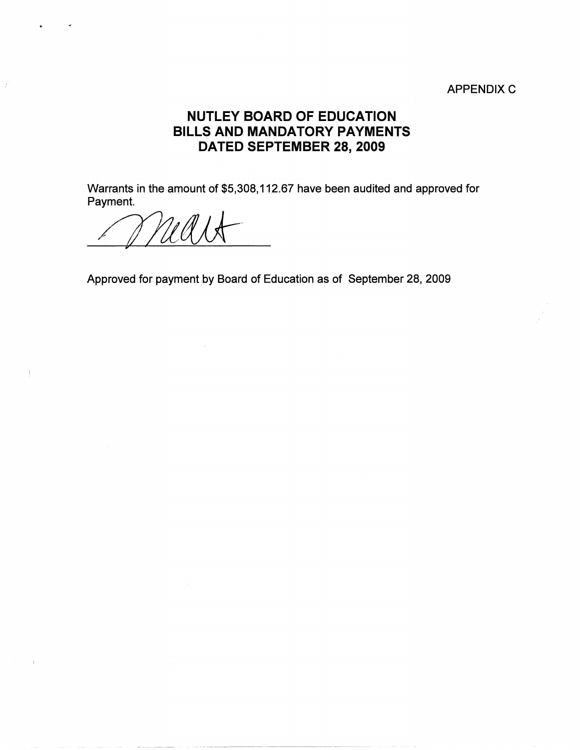## APPENDIX C

## **NUTLEY BOARD OF EDUCATION BILLS AND MANDATORY PAYMENTS DATED SEPTEMBER 28, 2009**

Warrants in the amount of \$5,308, 112.67 have been audited and approved for Payment.

*/fl!L(JJ}r* 

Approved for payment by Board of Education as of September 28, 2009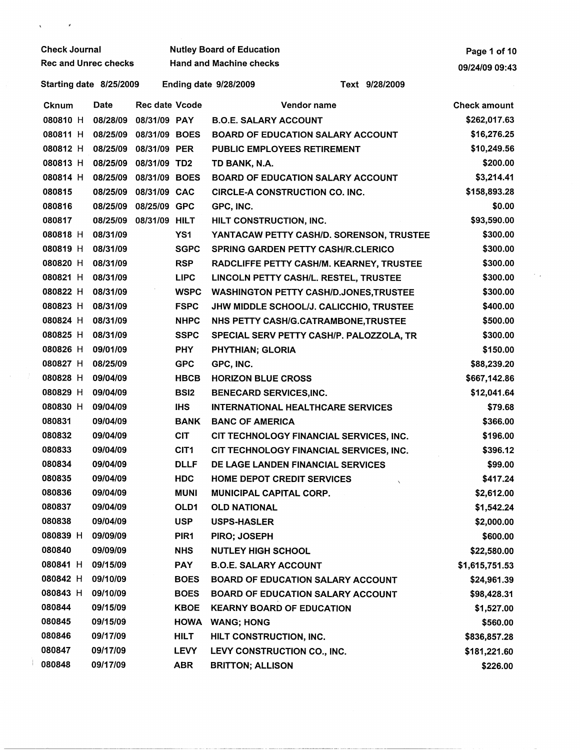| <b>Check Journal</b>        |                   |          |                        |                  | <b>Nutley Board of Education</b>               | Page 1 of 10        |  |
|-----------------------------|-------------------|----------|------------------------|------------------|------------------------------------------------|---------------------|--|
| <b>Rec and Unrec checks</b> |                   |          |                        |                  | <b>Hand and Machine checks</b>                 | 09/24/09 09:43      |  |
| Starting date 8/25/2009     |                   |          |                        |                  | <b>Ending date 9/28/2009</b><br>Text 9/28/2009 |                     |  |
|                             | <b>Cknum</b>      | Date     | <b>Rec date Vcode</b>  |                  | Vendor name                                    | <b>Check amount</b> |  |
|                             | 080810 H          | 08/28/09 | 08/31/09 PAY           |                  | <b>B.O.E. SALARY ACCOUNT</b>                   | \$262,017.63        |  |
|                             | 080811 H          | 08/25/09 | 08/31/09 BOES          |                  | <b>BOARD OF EDUCATION SALARY ACCOUNT</b>       | \$16,276.25         |  |
|                             | 080812 H          |          | 08/25/09 08/31/09 PER  |                  | PUBLIC EMPLOYEES RETIREMENT                    | \$10,249.56         |  |
|                             | 080813 H          |          | 08/25/09 08/31/09 TD2  |                  | TD BANK, N.A.                                  | \$200.00            |  |
|                             | 080814 H          |          | 08/25/09 08/31/09 BOES |                  | <b>BOARD OF EDUCATION SALARY ACCOUNT</b>       | \$3,214.41          |  |
|                             | 080815            | 08/25/09 | 08/31/09 CAC           |                  | <b>CIRCLE-A CONSTRUCTION CO. INC.</b>          | \$158,893.28        |  |
|                             | 080816            |          | 08/25/09 08/25/09 GPC  |                  | GPC, INC.                                      | \$0.00              |  |
|                             | 080817            |          | 08/25/09 08/31/09 HILT |                  | HILT CONSTRUCTION, INC.                        | \$93,590.00         |  |
|                             | 080818 H 08/31/09 |          |                        | YS1              | YANTACAW PETTY CASH/D. SORENSON, TRUSTEE       | \$300.00            |  |
|                             | 080819 H          | 08/31/09 |                        | <b>SGPC</b>      | <b>SPRING GARDEN PETTY CASH/R.CLERICO</b>      | \$300.00            |  |
|                             | 080820 H          | 08/31/09 |                        | <b>RSP</b>       | RADCLIFFE PETTY CASH/M. KEARNEY, TRUSTEE       | \$300.00            |  |
|                             | 080821 H          | 08/31/09 |                        | <b>LIPC</b>      | LINCOLN PETTY CASH/L. RESTEL, TRUSTEE          | \$300.00            |  |
|                             | 080822 H          | 08/31/09 |                        | <b>WSPC</b>      | <b>WASHINGTON PETTY CASH/D.JONES, TRUSTEE</b>  | \$300.00            |  |
|                             | 080823 H          | 08/31/09 |                        | <b>FSPC</b>      | JHW MIDDLE SCHOOL/J. CALICCHIO, TRUSTEE        | \$400.00            |  |
|                             | 080824 H          | 08/31/09 |                        | <b>NHPC</b>      | NHS PETTY CASH/G.CATRAMBONE, TRUSTEE           | \$500.00            |  |
|                             | 080825 H          | 08/31/09 |                        | <b>SSPC</b>      | SPECIAL SERV PETTY CASH/P. PALOZZOLA, TR       | \$300.00            |  |
|                             | 080826 H          | 09/01/09 |                        | <b>PHY</b>       | PHYTHIAN; GLORIA                               | \$150.00            |  |
|                             | 080827 H          | 08/25/09 |                        | <b>GPC</b>       | GPC, INC.                                      | \$88,239.20         |  |
|                             | 080828 H          | 09/04/09 |                        | <b>HBCB</b>      | <b>HORIZON BLUE CROSS</b>                      | \$667,142.86        |  |
|                             | 080829 H          | 09/04/09 |                        | <b>BSI2</b>      | <b>BENECARD SERVICES, INC.</b>                 | \$12,041.64         |  |
|                             | 080830 H          | 09/04/09 |                        | <b>IHS</b>       | <b>INTERNATIONAL HEALTHCARE SERVICES</b>       | \$79.68             |  |
|                             | 080831            | 09/04/09 |                        | BANK             | <b>BANC OF AMERICA</b>                         | \$366.00            |  |
|                             | 080832            | 09/04/09 |                        | <b>CIT</b>       | CIT TECHNOLOGY FINANCIAL SERVICES, INC.        | \$196.00            |  |
|                             | 080833            | 09/04/09 |                        | CIT <sub>1</sub> | CIT TECHNOLOGY FINANCIAL SERVICES, INC.        | \$396.12            |  |
|                             | 080834            | 09/04/09 |                        | <b>DLLF</b>      | DE LAGE LANDEN FINANCIAL SERVICES              | \$99.00             |  |
|                             | 080835            | 09/04/09 |                        | <b>HDC</b>       | <b>HOME DEPOT CREDIT SERVICES</b>              | \$417.24            |  |
|                             | 080836            | 09/04/09 |                        | <b>MUNI</b>      | MUNICIPAL CAPITAL CORP.                        | \$2,612.00          |  |
|                             | 080837            | 09/04/09 |                        | OLD1             | <b>OLD NATIONAL</b>                            | \$1,542.24          |  |
|                             | 080838            | 09/04/09 |                        | <b>USP</b>       | <b>USPS-HASLER</b>                             | \$2,000.00          |  |
|                             | 080839 H          | 09/09/09 |                        | PIR <sub>1</sub> | PIRO; JOSEPH                                   | \$600.00            |  |
|                             | 080840            | 09/09/09 |                        | <b>NHS</b>       | <b>NUTLEY HIGH SCHOOL</b>                      | \$22,580.00         |  |
|                             | 080841 H          | 09/15/09 |                        | <b>PAY</b>       | <b>B.O.E. SALARY ACCOUNT</b>                   | \$1,615,751.53      |  |
|                             | 080842 H          | 09/10/09 |                        | <b>BOES</b>      | <b>BOARD OF EDUCATION SALARY ACCOUNT</b>       | \$24,961.39         |  |
|                             | 080843 H          | 09/10/09 |                        | <b>BOES</b>      | <b>BOARD OF EDUCATION SALARY ACCOUNT</b>       | \$98,428.31         |  |
|                             | 080844            | 09/15/09 |                        | <b>KBOE</b>      | <b>KEARNY BOARD OF EDUCATION</b>               | \$1,527.00          |  |
|                             | 080845            | 09/15/09 |                        | HOWA             | <b>WANG; HONG</b>                              | \$560.00            |  |
|                             | 080846            | 09/17/09 |                        | <b>HILT</b>      | HILT CONSTRUCTION, INC.                        | \$836,857.28        |  |
|                             | 080847            | 09/17/09 |                        | <b>LEVY</b>      | LEVY CONSTRUCTION CO., INC.                    | \$181,221.60        |  |
|                             | 080848            | 09/17/09 |                        | <b>ABR</b>       | <b>BRITTON; ALLISON</b>                        | \$226.00            |  |

 $\label{eq:1} \chi_{\rm{eff}} = \frac{1}{2} \left( \frac{1}{2} \frac{1}{\sqrt{2}} \right) \left( \frac{1}{2} \frac{1}{\sqrt{2}} \right)$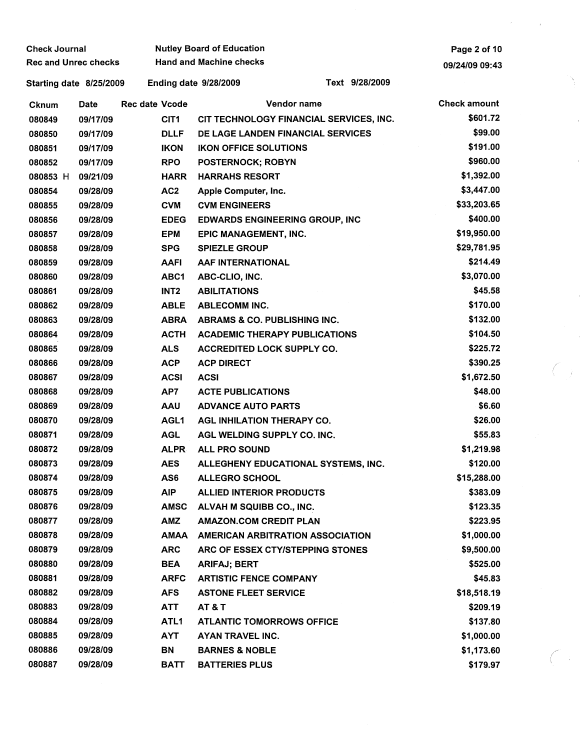| <b>Check Journal</b>        |          |                       | <b>Nutley Board of Education</b>  |                                         |                     |  |  |  |
|-----------------------------|----------|-----------------------|-----------------------------------|-----------------------------------------|---------------------|--|--|--|
| <b>Rec and Unrec checks</b> |          |                       | <b>Hand and Machine checks</b>    |                                         | 09/24/09 09:43      |  |  |  |
| Starting date 8/25/2009     |          |                       | <b>Ending date 9/28/2009</b>      | Text 9/28/2009                          |                     |  |  |  |
| <b>Cknum</b>                | Date     | <b>Rec date Vcode</b> |                                   | Vendor name                             | <b>Check amount</b> |  |  |  |
| 080849                      | 09/17/09 | CIT <sub>1</sub>      |                                   | CIT TECHNOLOGY FINANCIAL SERVICES, INC. | \$601.72            |  |  |  |
| 080850                      | 09/17/09 | <b>DLLF</b>           |                                   | DE LAGE LANDEN FINANCIAL SERVICES       | \$99.00             |  |  |  |
| 080851                      | 09/17/09 | <b>IKON</b>           | <b>IKON OFFICE SOLUTIONS</b>      |                                         | \$191.00            |  |  |  |
| 080852                      | 09/17/09 | <b>RPO</b>            | <b>POSTERNOCK; ROBYN</b>          |                                         | \$960.00            |  |  |  |
| 080853 H                    | 09/21/09 | <b>HARR</b>           | <b>HARRAHS RESORT</b>             |                                         | \$1,392.00          |  |  |  |
| 080854                      | 09/28/09 | AC <sub>2</sub>       | Apple Computer, Inc.              |                                         | \$3,447.00          |  |  |  |
| 080855                      | 09/28/09 | <b>CVM</b>            | <b>CVM ENGINEERS</b>              |                                         | \$33,203.65         |  |  |  |
| 080856                      | 09/28/09 | <b>EDEG</b>           |                                   | <b>EDWARDS ENGINEERING GROUP, INC</b>   | \$400.00            |  |  |  |
| 080857                      | 09/28/09 | <b>EPM</b>            | EPIC MANAGEMENT, INC.             |                                         | \$19,950.00         |  |  |  |
| 080858                      | 09/28/09 | <b>SPG</b>            | <b>SPIEZLE GROUP</b>              |                                         | \$29,781.95         |  |  |  |
| 080859                      | 09/28/09 | <b>AAFI</b>           | AAF INTERNATIONAL                 |                                         | \$214.49            |  |  |  |
| 080860                      | 09/28/09 | ABC1                  | ABC-CLIO, INC.                    |                                         | \$3,070.00          |  |  |  |
| 080861                      | 09/28/09 | INT <sub>2</sub>      | <b>ABILITATIONS</b>               |                                         | \$45.58             |  |  |  |
| 080862                      | 09/28/09 | <b>ABLE</b>           | <b>ABLECOMM INC.</b>              |                                         | \$170.00            |  |  |  |
| 080863                      | 09/28/09 | <b>ABRA</b>           |                                   | ABRAMS & CO. PUBLISHING INC.            | \$132.00            |  |  |  |
| 080864                      | 09/28/09 | <b>ACTH</b>           |                                   | <b>ACADEMIC THERAPY PUBLICATIONS</b>    | \$104.50            |  |  |  |
| 080865                      | 09/28/09 | <b>ALS</b>            |                                   | <b>ACCREDITED LOCK SUPPLY CO.</b>       | \$225.72            |  |  |  |
| 080866                      | 09/28/09 | <b>ACP</b>            | <b>ACP DIRECT</b>                 |                                         | \$390.25            |  |  |  |
| 080867                      | 09/28/09 | <b>ACSI</b>           | <b>ACSI</b>                       |                                         | \$1,672.50          |  |  |  |
| 080868                      | 09/28/09 | AP7                   | <b>ACTE PUBLICATIONS</b>          |                                         | \$48.00             |  |  |  |
| 080869                      | 09/28/09 | <b>AAU</b>            | <b>ADVANCE AUTO PARTS</b>         |                                         | \$6.60              |  |  |  |
| 080870                      | 09/28/09 | AGL <sub>1</sub>      | <b>AGL INHILATION THERAPY CO.</b> |                                         | \$26.00             |  |  |  |
| 080871                      | 09/28/09 | <b>AGL</b>            | AGL WELDING SUPPLY CO. INC.       |                                         | \$55.83             |  |  |  |
| 080872                      | 09/28/09 | <b>ALPR</b>           | <b>ALL PRO SOUND</b>              |                                         | \$1,219.98          |  |  |  |
| 080873                      | 09/28/09 | <b>AES</b>            |                                   | ALLEGHENY EDUCATIONAL SYSTEMS, INC.     | \$120.00            |  |  |  |
| 080874                      | 09/28/09 | AS6                   | <b>ALLEGRO SCHOOL</b>             |                                         | \$15,288.00         |  |  |  |
| 080875                      | 09/28/09 | <b>AIP</b>            | <b>ALLIED INTERIOR PRODUCTS</b>   |                                         | \$383.09            |  |  |  |
| 080876                      | 09/28/09 | <b>AMSC</b>           | ALVAH M SQUIBB CO., INC.          |                                         | \$123.35            |  |  |  |
| 080877                      | 09/28/09 | <b>AMZ</b>            | <b>AMAZON.COM CREDIT PLAN</b>     |                                         | \$223.95            |  |  |  |
| 080878                      | 09/28/09 | <b>AMAA</b>           |                                   | AMERICAN ARBITRATION ASSOCIATION        | \$1,000.00          |  |  |  |
| 080879                      | 09/28/09 | <b>ARC</b>            |                                   | ARC OF ESSEX CTY/STEPPING STONES        | \$9,500.00          |  |  |  |
| 080880                      | 09/28/09 | <b>BEA</b>            | <b>ARIFAJ; BERT</b>               |                                         | \$525.00            |  |  |  |
| 080881                      | 09/28/09 | <b>ARFC</b>           | <b>ARTISTIC FENCE COMPANY</b>     |                                         | \$45.83             |  |  |  |
| 080882                      | 09/28/09 | <b>AFS</b>            | <b>ASTONE FLEET SERVICE</b>       |                                         | \$18,518.19         |  |  |  |
| 080883                      | 09/28/09 | <b>ATT</b>            | <b>AT &amp; T</b>                 |                                         | \$209.19            |  |  |  |
| 080884                      | 09/28/09 | ATL1                  |                                   | <b>ATLANTIC TOMORROWS OFFICE</b>        | \$137.80            |  |  |  |
| 080885                      | 09/28/09 | <b>AYT</b>            | AYAN TRAVEL INC.                  |                                         | \$1,000.00          |  |  |  |
| 080886                      | 09/28/09 | BN                    | <b>BARNES &amp; NOBLE</b>         |                                         | \$1,173.60          |  |  |  |
| 080887                      | 09/28/09 | <b>BATT</b>           | <b>BATTERIES PLUS</b>             |                                         | \$179.97            |  |  |  |

 $\frac{1}{2}$  ,  $\frac{1}{2}$ 

Ň,

 $\overline{C}_{\overline{J}}$ 

 $\overline{C}$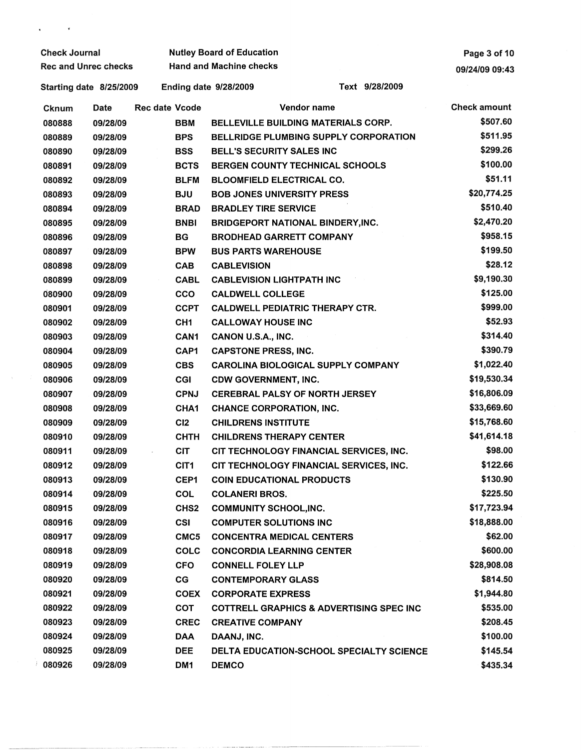| <b>Check Journal</b>        |          |                       | <b>Nutley Board of Education</b> |                               | Page 3 of 10                                        |                     |  |
|-----------------------------|----------|-----------------------|----------------------------------|-------------------------------|-----------------------------------------------------|---------------------|--|
| <b>Rec and Unrec checks</b> |          |                       | <b>Hand and Machine checks</b>   |                               | 09/24/09 09:43                                      |                     |  |
| Starting date 8/25/2009     |          |                       |                                  | <b>Ending date 9/28/2009</b>  | Text 9/28/2009                                      |                     |  |
| Cknum                       | Date     | <b>Rec date Vcode</b> |                                  |                               | Vendor name                                         | <b>Check amount</b> |  |
| 080888                      | 09/28/09 |                       | <b>BBM</b>                       |                               | <b>BELLEVILLE BUILDING MATERIALS CORP.</b>          | \$507.60            |  |
| 080889                      | 09/28/09 |                       | <b>BPS</b>                       |                               | <b>BELLRIDGE PLUMBING SUPPLY CORPORATION</b>        | \$511.95            |  |
| 080890                      | 09/28/09 |                       | <b>BSS</b>                       |                               | <b>BELL'S SECURITY SALES INC</b>                    | \$299.26            |  |
| 080891                      | 09/28/09 |                       | <b>BCTS</b>                      |                               | <b>BERGEN COUNTY TECHNICAL SCHOOLS</b>              | \$100.00            |  |
| 080892                      | 09/28/09 |                       | <b>BLFM</b>                      |                               | <b>BLOOMFIELD ELECTRICAL CO.</b>                    | \$51.11             |  |
| 080893                      | 09/28/09 |                       | <b>BJU</b>                       |                               | <b>BOB JONES UNIVERSITY PRESS</b>                   | \$20,774.25         |  |
| 080894                      | 09/28/09 |                       | <b>BRAD</b>                      | <b>BRADLEY TIRE SERVICE</b>   |                                                     | \$510.40            |  |
| 080895                      | 09/28/09 |                       | <b>BNBI</b>                      |                               | <b>BRIDGEPORT NATIONAL BINDERY, INC.</b>            | \$2,470.20          |  |
| 080896                      | 09/28/09 |                       | <b>BG</b>                        |                               | <b>BRODHEAD GARRETT COMPANY</b>                     | \$958.15            |  |
| 080897                      | 09/28/09 |                       | <b>BPW</b>                       | <b>BUS PARTS WAREHOUSE</b>    |                                                     | \$199.50            |  |
| 080898                      | 09/28/09 |                       | <b>CAB</b>                       | <b>CABLEVISION</b>            |                                                     | \$28.12             |  |
| 080899                      | 09/28/09 |                       | <b>CABL</b>                      |                               | <b>CABLEVISION LIGHTPATH INC</b>                    | \$9,190.30          |  |
| 080900                      | 09/28/09 |                       | <b>CCO</b>                       | <b>CALDWELL COLLEGE</b>       |                                                     | \$125.00            |  |
| 080901                      | 09/28/09 |                       | <b>CCPT</b>                      |                               | <b>CALDWELL PEDIATRIC THERAPY CTR.</b>              | \$999.00            |  |
| 080902                      | 09/28/09 |                       | CH <sub>1</sub>                  | <b>CALLOWAY HOUSE INC</b>     |                                                     | \$52.93             |  |
| 080903                      | 09/28/09 |                       | CAN <sub>1</sub>                 | CANON U.S.A., INC.            |                                                     | \$314.40            |  |
| 080904                      | 09/28/09 |                       | CAP1                             | <b>CAPSTONE PRESS, INC.</b>   |                                                     | \$390.79            |  |
| 080905                      | 09/28/09 |                       | <b>CBS</b>                       |                               | <b>CAROLINA BIOLOGICAL SUPPLY COMPANY</b>           | \$1,022.40          |  |
| 080906                      | 09/28/09 |                       | <b>CGI</b>                       | <b>CDW GOVERNMENT, INC.</b>   |                                                     | \$19,530.34         |  |
| 080907                      | 09/28/09 |                       | <b>CPNJ</b>                      |                               | <b>CEREBRAL PALSY OF NORTH JERSEY</b>               | \$16,806.09         |  |
| 080908                      | 09/28/09 |                       | CHA1                             |                               | <b>CHANCE CORPORATION, INC.</b>                     | \$33,669.60         |  |
| 080909                      | 09/28/09 |                       | C12                              | <b>CHILDRENS INSTITUTE</b>    |                                                     | \$15,768.60         |  |
| 080910                      | 09/28/09 |                       | <b>CHTH</b>                      |                               | <b>CHILDRENS THERAPY CENTER</b>                     | \$41,614.18         |  |
| 080911                      | 09/28/09 |                       | <b>CIT</b>                       |                               | CIT TECHNOLOGY FINANCIAL SERVICES, INC.             | \$98.00             |  |
| 080912                      | 09/28/09 |                       | CIT1                             |                               | CIT TECHNOLOGY FINANCIAL SERVICES, INC.             | \$122.66            |  |
| 080913                      | 09/28/09 |                       | CEP1                             |                               | <b>COIN EDUCATIONAL PRODUCTS</b>                    | \$130.90            |  |
| 080914                      | 09/28/09 |                       | <b>COL</b>                       | <b>COLANERI BROS.</b>         |                                                     | \$225.50            |  |
| 080915                      | 09/28/09 |                       | CHS <sub>2</sub>                 | <b>COMMUNITY SCHOOL, INC.</b> |                                                     | \$17,723.94         |  |
| 080916                      | 09/28/09 |                       | <b>CSI</b>                       | <b>COMPUTER SOLUTIONS INC</b> |                                                     | \$18,888.00         |  |
| 080917                      | 09/28/09 |                       | CMC <sub>5</sub>                 |                               | <b>CONCENTRA MEDICAL CENTERS</b>                    | \$62.00             |  |
| 080918                      | 09/28/09 |                       | <b>COLC</b>                      |                               | <b>CONCORDIA LEARNING CENTER</b>                    | \$600.00            |  |
| 080919                      | 09/28/09 |                       | <b>CFO</b>                       | <b>CONNELL FOLEY LLP</b>      |                                                     | \$28,908.08         |  |
| 080920                      | 09/28/09 |                       | CG                               | <b>CONTEMPORARY GLASS</b>     |                                                     | \$814.50            |  |
| 080921                      | 09/28/09 |                       | <b>COEX</b>                      | <b>CORPORATE EXPRESS</b>      |                                                     | \$1,944.80          |  |
| 080922                      | 09/28/09 |                       | <b>COT</b>                       |                               | <b>COTTRELL GRAPHICS &amp; ADVERTISING SPEC INC</b> | \$535.00            |  |
| 080923                      | 09/28/09 |                       | <b>CREC</b>                      | <b>CREATIVE COMPANY</b>       |                                                     | \$208.45            |  |
| 080924                      | 09/28/09 |                       | <b>DAA</b>                       | DAANJ, INC.                   |                                                     | \$100.00            |  |
| 080925                      | 09/28/09 |                       | <b>DEE</b>                       |                               | DELTA EDUCATION-SCHOOL SPECIALTY SCIENCE            | \$145.54            |  |
| 080926                      | 09/28/09 |                       | DM <sub>1</sub>                  | <b>DEMCO</b>                  |                                                     | \$435.34            |  |

 $\mathbf{v} = \mathbf{v} \times \mathbf{v}$  .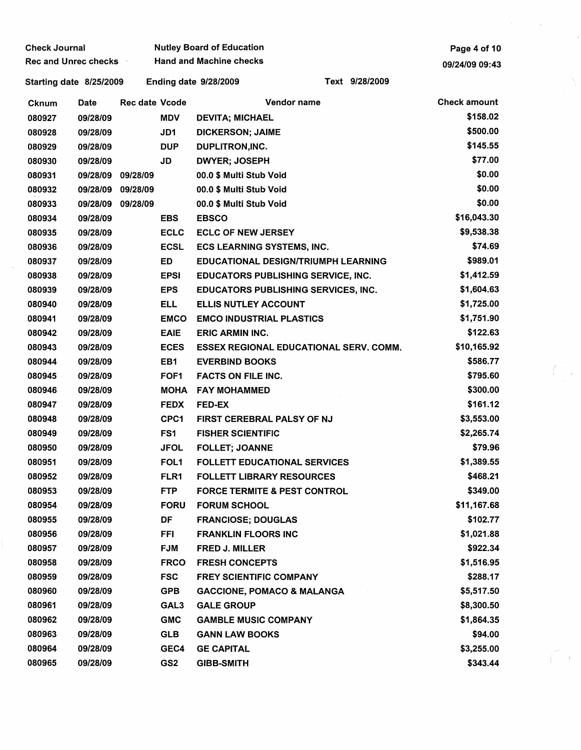| <b>Check Journal</b>        |                   |                       |             | <b>Nutley Board of Education</b>               | Page 4 of 10        |  |
|-----------------------------|-------------------|-----------------------|-------------|------------------------------------------------|---------------------|--|
| <b>Rec and Unrec checks</b> |                   |                       |             | <b>Hand and Machine checks</b>                 | 09/24/09 09:43      |  |
| Starting date 8/25/2009     |                   |                       |             | Text 9/28/2009<br><b>Ending date 9/28/2009</b> |                     |  |
| Cknum                       | Date              | <b>Rec date Vcode</b> |             | Vendor name                                    | <b>Check amount</b> |  |
| 080927                      | 09/28/09          |                       | <b>MDV</b>  | <b>DEVITA; MICHAEL</b>                         | \$158.02            |  |
| 080928                      | 09/28/09          |                       | JD1         | <b>DICKERSON; JAIME</b>                        | \$500.00            |  |
| 080929                      | 09/28/09          |                       | <b>DUP</b>  | DUPLITRON, INC.                                | \$145.55            |  |
| 080930                      | 09/28/09          |                       | JD          | <b>DWYER; JOSEPH</b>                           | \$77.00             |  |
| 080931                      | 09/28/09 09/28/09 |                       |             | 00.0 \$ Multi Stub Void                        | \$0.00              |  |
| 080932                      | 09/28/09          | 09/28/09              |             | 00.0 \$ Multi Stub Void                        | \$0.00              |  |
| 080933                      | 09/28/09          | 09/28/09              |             | 00.0 \$ Multi Stub Void                        | \$0.00              |  |
| 080934                      | 09/28/09          |                       | <b>EBS</b>  | <b>EBSCO</b>                                   | \$16,043.30         |  |
| 080935                      | 09/28/09          |                       | <b>ECLC</b> | <b>ECLC OF NEW JERSEY</b>                      | \$9,538.38          |  |
| 080936                      | 09/28/09          |                       | <b>ECSL</b> | <b>ECS LEARNING SYSTEMS, INC.</b>              | \$74.69             |  |
| 080937                      | 09/28/09          |                       | ED          | <b>EDUCATIONAL DESIGN/TRIUMPH LEARNING</b>     | \$989.01            |  |
| 080938                      | 09/28/09          |                       | <b>EPSI</b> | <b>EDUCATORS PUBLISHING SERVICE, INC.</b>      | \$1,412.59          |  |
| 080939                      | 09/28/09          |                       | <b>EPS</b>  | <b>EDUCATORS PUBLISHING SERVICES, INC.</b>     | \$1,604.63          |  |
| 080940                      | 09/28/09          |                       | <b>ELL</b>  | <b>ELLIS NUTLEY ACCOUNT</b>                    | \$1,725.00          |  |
| 080941                      | 09/28/09          |                       | <b>EMCO</b> | <b>EMCO INDUSTRIAL PLASTICS</b>                | \$1,751.90          |  |
| 080942                      | 09/28/09          |                       | <b>EAIE</b> | <b>ERIC ARMIN INC.</b>                         | \$122.63            |  |
| 080943                      | 09/28/09          |                       | <b>ECES</b> | <b>ESSEX REGIONAL EDUCATIONAL SERV. COMM.</b>  | \$10,165.92         |  |
| 080944                      | 09/28/09          |                       | EB1         | <b>EVERBIND BOOKS</b>                          | \$586.77            |  |
| 080945                      | 09/28/09          |                       | FOF1        | <b>FACTS ON FILE INC.</b>                      | \$795.60            |  |
| 080946                      | 09/28/09          |                       |             | MOHA FAY MOHAMMED                              | \$300.00            |  |
| 080947                      | 09/28/09          |                       | <b>FEDX</b> | <b>FED-EX</b>                                  | \$161.12            |  |
| 080948                      | 09/28/09          |                       | CPC1        | FIRST CEREBRAL PALSY OF NJ                     | \$3,553.00          |  |
| 080949                      | 09/28/09          |                       | FS1         | <b>FISHER SCIENTIFIC</b>                       | \$2,265.74          |  |
| 080950                      | 09/28/09          |                       | <b>JFOL</b> | <b>FOLLET; JOANNE</b>                          | \$79.96             |  |
| 080951                      | 09/28/09          |                       | FOL1        | <b>FOLLETT EDUCATIONAL SERVICES</b>            | \$1,389.55          |  |
| 080952                      | 09/28/09          |                       | FLR1        | <b>FOLLETT LIBRARY RESOURCES</b>               | \$468.21            |  |
| 080953                      | 09/28/09          |                       | <b>FTP</b>  | <b>FORCE TERMITE &amp; PEST CONTROL</b>        | \$349.00            |  |
| 080954                      | 09/28/09          |                       | <b>FORU</b> | <b>FORUM SCHOOL</b>                            | \$11,167.68         |  |
| 080955                      | 09/28/09          |                       | DF          | <b>FRANCIOSE; DOUGLAS</b>                      | \$102.77            |  |
| 080956                      | 09/28/09          |                       | <b>FFI</b>  | <b>FRANKLIN FLOORS INC</b>                     | \$1,021.88          |  |
| 080957                      | 09/28/09          |                       | <b>FJM</b>  | <b>FRED J. MILLER</b>                          | \$922.34            |  |
| 080958                      | 09/28/09          |                       | <b>FRCO</b> | <b>FRESH CONCEPTS</b>                          | \$1,516.95          |  |
| 080959                      | 09/28/09          |                       | <b>FSC</b>  | <b>FREY SCIENTIFIC COMPANY</b>                 | \$288.17            |  |
| 080960                      | 09/28/09          |                       | <b>GPB</b>  | <b>GACCIONE, POMACO &amp; MALANGA</b>          | \$5,517.50          |  |
| 080961                      | 09/28/09          |                       | GAL3        | <b>GALE GROUP</b>                              | \$8,300.50          |  |
| 080962                      | 09/28/09          |                       | <b>GMC</b>  | <b>GAMBLE MUSIC COMPANY</b>                    | \$1,864.35          |  |
| 080963                      | 09/28/09          |                       | <b>GLB</b>  | <b>GANN LAW BOOKS</b>                          | \$94.00             |  |
| 080964                      | 09/28/09          |                       | GEC4        | <b>GE CAPITAL</b>                              | \$3,255.00          |  |
| 080965                      | 09/28/09          |                       | GS2         | <b>GIBB-SMITH</b>                              | \$343.44            |  |

 $\sim$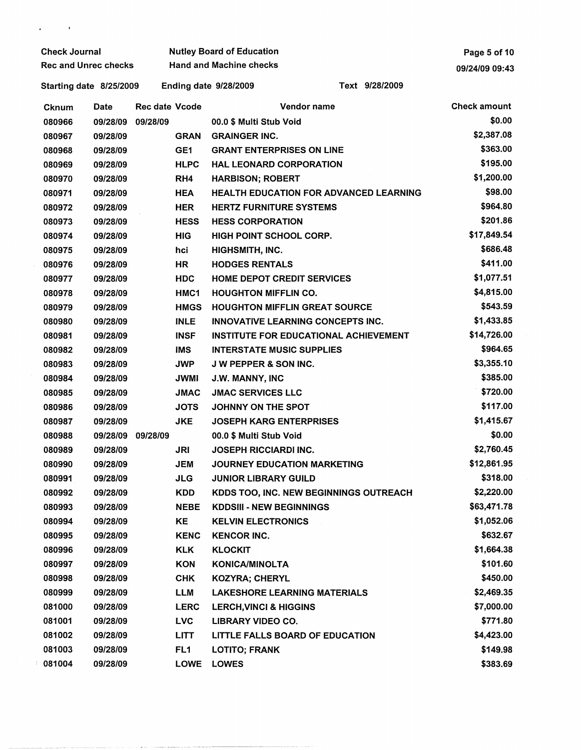| <b>Check Journal</b> |                             |                       | <b>Nutley Board of Education</b> | Page 5 of 10                                   |                     |
|----------------------|-----------------------------|-----------------------|----------------------------------|------------------------------------------------|---------------------|
|                      | <b>Rec and Unrec checks</b> |                       | <b>Hand and Machine checks</b>   | 09/24/09 09:43                                 |                     |
|                      | Starting date 8/25/2009     |                       |                                  | Text 9/28/2009<br><b>Ending date 9/28/2009</b> |                     |
| Cknum                | Date                        | <b>Rec date Vcode</b> |                                  | Vendor name                                    | <b>Check amount</b> |
| 080966               | 09/28/09                    | 09/28/09              |                                  | 00.0 \$ Multi Stub Void                        | \$0.00              |
| 080967               | 09/28/09                    |                       | <b>GRAN</b>                      | <b>GRAINGER INC.</b>                           | \$2,387.08          |
| 080968               | 09/28/09                    |                       | GE <sub>1</sub>                  | <b>GRANT ENTERPRISES ON LINE</b>               | \$363.00            |
| 080969               | 09/28/09                    |                       | <b>HLPC</b>                      | <b>HAL LEONARD CORPORATION</b>                 | \$195.00            |
| 080970               | 09/28/09                    |                       | RH <sub>4</sub>                  | <b>HARBISON; ROBERT</b>                        | \$1,200.00          |
| 080971               | 09/28/09                    |                       | <b>HEA</b>                       | <b>HEALTH EDUCATION FOR ADVANCED LEARNING</b>  | \$98.00             |
| 080972               | 09/28/09                    |                       | <b>HER</b>                       | <b>HERTZ FURNITURE SYSTEMS</b>                 | \$964.80            |
| 080973               | 09/28/09                    |                       | <b>HESS</b>                      | <b>HESS CORPORATION</b>                        | \$201.86            |
| 080974               | 09/28/09                    |                       | <b>HIG</b>                       | <b>HIGH POINT SCHOOL CORP.</b>                 | \$17,849.54         |
| 080975               | 09/28/09                    |                       | hci                              | HIGHSMITH, INC.                                | \$686.48            |
| 080976               | 09/28/09                    |                       | <b>HR</b>                        | <b>HODGES RENTALS</b>                          | \$411.00            |
| 080977               | 09/28/09                    |                       | <b>HDC</b>                       | <b>HOME DEPOT CREDIT SERVICES</b>              | \$1,077.51          |
| 080978               | 09/28/09                    |                       | HMC1                             | <b>HOUGHTON MIFFLIN CO.</b>                    | \$4,815.00          |
| 080979               | 09/28/09                    |                       | <b>HMGS</b>                      | <b>HOUGHTON MIFFLIN GREAT SOURCE</b>           | \$543.59            |
| 080980               | 09/28/09                    |                       | <b>INLE</b>                      | INNOVATIVE LEARNING CONCEPTS INC.              | \$1,433.85          |
| 080981               | 09/28/09                    |                       | <b>INSF</b>                      | <b>INSTITUTE FOR EDUCATIONAL ACHIEVEMENT</b>   | \$14,726.00         |
| 080982               | 09/28/09                    |                       | <b>IMS</b>                       | <b>INTERSTATE MUSIC SUPPLIES</b>               | \$964.65            |
| 080983               | 09/28/09                    |                       | <b>JWP</b>                       | <b>JW PEPPER &amp; SON INC.</b>                | \$3,355.10          |
| 080984               | 09/28/09                    |                       | <b>JWMI</b>                      | J.W. MANNY, INC                                | \$385.00            |
| 080985               | 09/28/09                    |                       | <b>JMAC</b>                      | <b>JMAC SERVICES LLC</b>                       | \$720.00            |
| 080986               | 09/28/09                    |                       | <b>JOTS</b>                      | JOHNNY ON THE SPOT                             | \$117.00            |
| 080987               | 09/28/09                    |                       | <b>JKE</b>                       | <b>JOSEPH KARG ENTERPRISES</b>                 | \$1,415.67          |
| 080988               | 09/28/09                    | 09/28/09              |                                  | 00.0 \$ Multi Stub Void                        | \$0.00              |
| 080989               | 09/28/09                    |                       | JRI                              | <b>JOSEPH RICCIARDI INC.</b>                   | \$2,760.45          |
| 080990               | 09/28/09                    |                       | <b>JEM</b>                       | <b>JOURNEY EDUCATION MARKETING</b>             | \$12,861.95         |
| 080991               | 09/28/09                    |                       | <b>JLG</b>                       | <b>JUNIOR LIBRARY GUILD</b>                    | \$318.00            |
| 080992               | 09/28/09                    |                       | <b>KDD</b>                       | KDDS TOO, INC. NEW BEGINNINGS OUTREACH         | \$2,220.00          |
| 080993               | 09/28/09                    |                       | <b>NEBE</b>                      | <b>KDDSIII - NEW BEGINNINGS</b>                | \$63,471.78         |
| 080994               | 09/28/09                    |                       | ΚE                               | <b>KELVIN ELECTRONICS</b>                      | \$1,052.06          |
| 080995               | 09/28/09                    |                       | <b>KENC</b>                      | <b>KENCOR INC.</b>                             | \$632.67            |
| 080996               | 09/28/09                    |                       | <b>KLK</b>                       | <b>KLOCKIT</b>                                 | \$1,664.38          |
| 080997               | 09/28/09                    |                       | <b>KON</b>                       | <b>KONICA/MINOLTA</b>                          | \$101.60            |
| 080998               | 09/28/09                    |                       | <b>CHK</b>                       | <b>KOZYRA; CHERYL</b>                          | \$450.00            |
| 080999               | 09/28/09                    |                       | LLM                              | <b>LAKESHORE LEARNING MATERIALS</b>            | \$2,469.35          |
| 081000               | 09/28/09                    |                       | <b>LERC</b>                      | <b>LERCH, VINCI &amp; HIGGINS</b>              | \$7,000.00          |
| 081001               | 09/28/09                    |                       | <b>LVC</b>                       | <b>LIBRARY VIDEO CO.</b>                       | \$771.80            |
| 081002               | 09/28/09                    |                       | <b>LITT</b>                      | LITTLE FALLS BOARD OF EDUCATION                | \$4,423.00          |
| 081003               | 09/28/09                    |                       | FL <sub>1</sub>                  | <b>LOTITO; FRANK</b>                           | \$149.98            |
| 081004               | 09/28/09                    |                       | <b>LOWE</b>                      | <b>LOWES</b>                                   | \$383.69            |

 $\mathfrak{g}^{\pm}$  and  $\mathfrak{g}^{\pm}$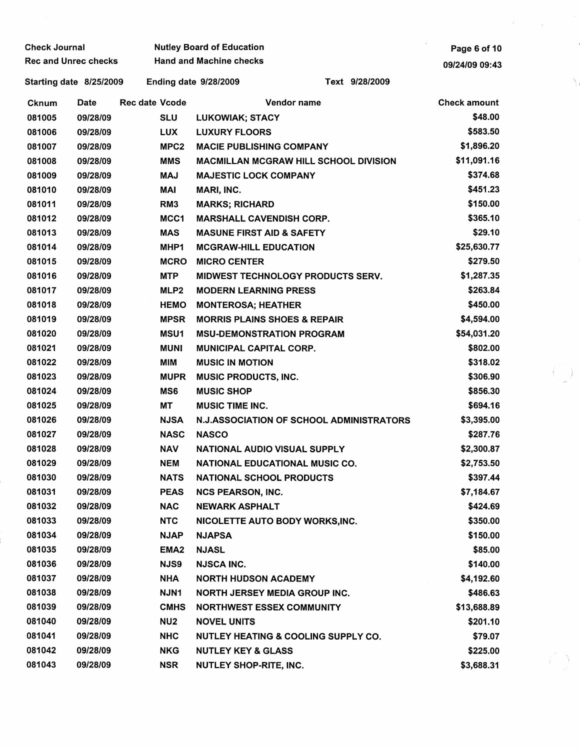| <b>Check Journal</b> |                             |                       | <b>Nutley Board of Education</b>     |                                              | Page 6 of 10        |  |
|----------------------|-----------------------------|-----------------------|--------------------------------------|----------------------------------------------|---------------------|--|
|                      | <b>Rec and Unrec checks</b> |                       | <b>Hand and Machine checks</b>       |                                              | 09/24/09 09:43      |  |
|                      | Starting date 8/25/2009     |                       | <b>Ending date 9/28/2009</b>         | Text 9/28/2009                               |                     |  |
| Cknum                | <b>Date</b>                 | <b>Rec date Vcode</b> |                                      | Vendor name                                  | <b>Check amount</b> |  |
| 081005               | 09/28/09                    | <b>SLU</b>            | LUKOWIAK; STACY                      |                                              | \$48.00             |  |
| 081006               | 09/28/09                    | <b>LUX</b>            | <b>LUXURY FLOORS</b>                 |                                              | \$583.50            |  |
| 081007               | 09/28/09                    | MPC <sub>2</sub>      | <b>MACIE PUBLISHING COMPANY</b>      |                                              | \$1,896.20          |  |
| 081008               | 09/28/09                    | <b>MMS</b>            |                                      | <b>MACMILLAN MCGRAW HILL SCHOOL DIVISION</b> | \$11,091.16         |  |
| 081009               | 09/28/09                    | <b>MAJ</b>            | <b>MAJESTIC LOCK COMPANY</b>         |                                              | \$374.68            |  |
| 081010               | 09/28/09                    | MAI                   | MARI, INC.                           |                                              | \$451.23            |  |
| 081011               | 09/28/09                    | RM <sub>3</sub>       | <b>MARKS; RICHARD</b>                |                                              | \$150.00            |  |
| 081012               | 09/28/09                    | MCC1                  | <b>MARSHALL CAVENDISH CORP.</b>      |                                              | \$365.10            |  |
| 081013               | 09/28/09                    | <b>MAS</b>            | <b>MASUNE FIRST AID &amp; SAFETY</b> |                                              | \$29.10             |  |
| 081014               | 09/28/09                    | MHP1                  | <b>MCGRAW-HILL EDUCATION</b>         |                                              | \$25,630.77         |  |
| 081015               | 09/28/09                    | <b>MCRO</b>           | <b>MICRO CENTER</b>                  |                                              | \$279.50            |  |
| 081016               | 09/28/09                    | <b>MTP</b>            |                                      | <b>MIDWEST TECHNOLOGY PRODUCTS SERV.</b>     | \$1,287.35          |  |
| 081017               | 09/28/09                    | MLP2                  | <b>MODERN LEARNING PRESS</b>         |                                              | \$263.84            |  |
| 081018               | 09/28/09                    | <b>HEMO</b>           | <b>MONTEROSA; HEATHER</b>            |                                              | \$450.00            |  |
| 081019               | 09/28/09                    | <b>MPSR</b>           |                                      | <b>MORRIS PLAINS SHOES &amp; REPAIR</b>      | \$4,594.00          |  |
| 081020               | 09/28/09                    | MSU1                  |                                      | <b>MSU-DEMONSTRATION PROGRAM</b>             | \$54,031.20         |  |
| 081021               | 09/28/09                    | <b>MUNI</b>           | <b>MUNICIPAL CAPITAL CORP.</b>       |                                              | \$802.00            |  |
| 081022               | 09/28/09                    | <b>MIM</b>            | <b>MUSIC IN MOTION</b>               |                                              | \$318.02            |  |
| 081023               | 09/28/09                    | <b>MUPR</b>           | <b>MUSIC PRODUCTS, INC.</b>          |                                              | \$306.90            |  |
| 081024               | 09/28/09                    | MS <sub>6</sub>       | <b>MUSIC SHOP</b>                    |                                              | \$856.30            |  |
| 081025               | 09/28/09                    | МT                    | <b>MUSIC TIME INC.</b>               |                                              | \$694.16            |  |
| 081026               | 09/28/09                    | <b>NJSA</b>           |                                      | N.J.ASSOCIATION OF SCHOOL ADMINISTRATORS     | \$3,395.00          |  |
| 081027               | 09/28/09                    | <b>NASC</b>           | <b>NASCO</b>                         |                                              | \$287.76            |  |
| 081028               | 09/28/09                    | <b>NAV</b>            |                                      | NATIONAL AUDIO VISUAL SUPPLY                 | \$2,300.87          |  |
| 081029               | 09/28/09                    | <b>NEM</b>            |                                      | <b>NATIONAL EDUCATIONAL MUSIC CO.</b>        | \$2,753.50          |  |
| 081030               | 09/28/09                    | <b>NATS</b>           | <b>NATIONAL SCHOOL PRODUCTS</b>      |                                              | \$397.44            |  |
| 081031               | 09/28/09                    | <b>PEAS</b>           | <b>NCS PEARSON, INC.</b>             |                                              | \$7,184.67          |  |
| 081032               | 09/28/09                    | <b>NAC</b>            | <b>NEWARK ASPHALT</b>                |                                              | \$424.69            |  |
| 081033               | 09/28/09                    | <b>NTC</b>            |                                      | NICOLETTE AUTO BODY WORKS, INC.              | \$350.00            |  |
| 081034               | 09/28/09                    | <b>NJAP</b>           | <b>NJAPSA</b>                        |                                              | \$150.00            |  |
| 081035               | 09/28/09                    | EMA <sub>2</sub>      | <b>NJASL</b>                         |                                              | \$85.00             |  |
| 081036               | 09/28/09                    | NJS9                  | <b>NJSCA INC.</b>                    |                                              | \$140.00            |  |
| 081037               | 09/28/09                    | <b>NHA</b>            | <b>NORTH HUDSON ACADEMY</b>          |                                              | \$4,192.60          |  |
| 081038               | 09/28/09                    | <b>NJN1</b>           |                                      | <b>NORTH JERSEY MEDIA GROUP INC.</b>         | \$486.63            |  |
| 081039               | 09/28/09                    | <b>CMHS</b>           |                                      | <b>NORTHWEST ESSEX COMMUNITY</b>             | \$13,688.89         |  |
| 081040               | 09/28/09                    | NU <sub>2</sub>       | <b>NOVEL UNITS</b>                   |                                              |                     |  |
| 081041               |                             |                       |                                      |                                              | \$201.10            |  |
| 081042               | 09/28/09                    | <b>NHC</b>            |                                      | NUTLEY HEATING & COOLING SUPPLY CO.          | \$79.07             |  |
|                      | 09/28/09                    | <b>NKG</b>            | <b>NUTLEY KEY &amp; GLASS</b>        |                                              | \$225.00            |  |
| 081043               | 09/28/09                    | NSR                   | <b>NUTLEY SHOP-RITE, INC.</b>        |                                              | \$3,688.31          |  |

 $\begin{pmatrix} 1 & 1 \\ 1 & 1 \end{pmatrix}$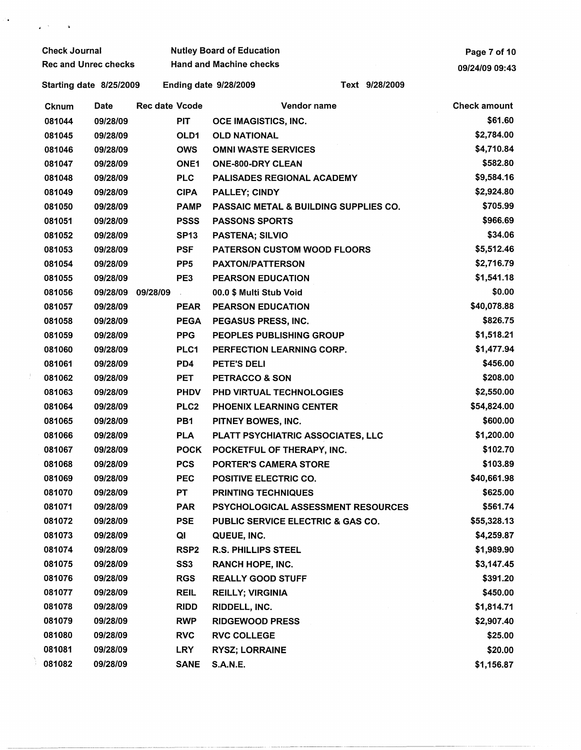| <b>Check Journal</b>        |          |                       | <b>Nutley Board of Education</b> | Page 7 of 10                   |                                       |                     |
|-----------------------------|----------|-----------------------|----------------------------------|--------------------------------|---------------------------------------|---------------------|
| <b>Rec and Unrec checks</b> |          |                       | <b>Hand and Machine checks</b>   | 09/24/09 09:43                 |                                       |                     |
| Starting date 8/25/2009     |          |                       |                                  | <b>Ending date 9/28/2009</b>   | Text 9/28/2009                        |                     |
| <b>Cknum</b>                | Date     | <b>Rec date Vcode</b> |                                  |                                | Vendor name                           | <b>Check amount</b> |
| 081044                      | 09/28/09 |                       | <b>PIT</b>                       | OCE IMAGISTICS, INC.           |                                       | \$61.60             |
| 081045                      | 09/28/09 |                       | OLD1                             | <b>OLD NATIONAL</b>            |                                       | \$2,784.00          |
| 081046                      | 09/28/09 |                       | <b>OWS</b>                       | <b>OMNI WASTE SERVICES</b>     |                                       | \$4,710.84          |
| 081047                      | 09/28/09 |                       | <b>ONE1</b>                      | ONE-800-DRY CLEAN              |                                       | \$582.80            |
| 081048                      | 09/28/09 |                       | <b>PLC</b>                       |                                | PALISADES REGIONAL ACADEMY            | \$9,584.16          |
| 081049                      | 09/28/09 |                       | <b>CIPA</b>                      | <b>PALLEY; CINDY</b>           |                                       | \$2,924.80          |
| 081050                      | 09/28/09 |                       | <b>PAMP</b>                      |                                | PASSAIC METAL & BUILDING SUPPLIES CO. | \$705.99            |
| 081051                      | 09/28/09 |                       | <b>PSSS</b>                      | <b>PASSONS SPORTS</b>          |                                       | \$966.69            |
| 081052                      | 09/28/09 |                       | <b>SP13</b>                      | <b>PASTENA; SILVIO</b>         |                                       | \$34.06             |
| 081053                      | 09/28/09 |                       | <b>PSF</b>                       |                                | <b>PATERSON CUSTOM WOOD FLOORS</b>    | \$5,512.46          |
| 081054                      | 09/28/09 |                       | PP <sub>5</sub>                  | <b>PAXTON/PATTERSON</b>        |                                       | \$2,716.79          |
| 081055                      | 09/28/09 |                       | PE3                              | <b>PEARSON EDUCATION</b>       |                                       | \$1,541.18          |
| 081056                      |          | 09/28/09 09/28/09     | $\sim$                           | 00.0 \$ Multi Stub Void        |                                       | \$0.00              |
| 081057                      | 09/28/09 |                       | <b>PEAR</b>                      | <b>PEARSON EDUCATION</b>       |                                       | \$40,078.88         |
| 081058                      | 09/28/09 |                       | <b>PEGA</b>                      | PEGASUS PRESS, INC.            |                                       | \$826.75            |
| 081059                      | 09/28/09 |                       | <b>PPG</b>                       |                                | PEOPLES PUBLISHING GROUP              | \$1,518.21          |
| 081060                      | 09/28/09 |                       | PLC1                             |                                | PERFECTION LEARNING CORP.             | \$1,477.94          |
| 081061                      | 09/28/09 |                       | PD4                              | <b>PETE'S DELI</b>             |                                       | \$456.00            |
| 081062                      | 09/28/09 |                       | PET                              | <b>PETRACCO &amp; SON</b>      |                                       | \$208.00            |
| 081063                      | 09/28/09 |                       | <b>PHDV</b>                      | PHD VIRTUAL TECHNOLOGIES       |                                       | \$2,550.00          |
| 081064                      | 09/28/09 |                       | PLC <sub>2</sub>                 | <b>PHOENIX LEARNING CENTER</b> |                                       | \$54,824.00         |
| 081065                      | 09/28/09 |                       | PB1                              | PITNEY BOWES, INC.             |                                       | \$600.00            |
| 081066                      | 09/28/09 |                       | <b>PLA</b>                       |                                | PLATT PSYCHIATRIC ASSOCIATES, LLC     | \$1,200.00          |
| 081067                      | 09/28/09 |                       | <b>POCK</b>                      |                                | POCKETFUL OF THERAPY, INC.            | \$102.70            |
| 081068                      | 09/28/09 |                       | <b>PCS</b>                       | PORTER'S CAMERA STORE          |                                       | \$103.89            |
| 081069                      | 09/28/09 |                       | <b>PEC</b>                       | <b>POSITIVE ELECTRIC CO.</b>   |                                       | \$40,661.98         |
| 081070                      | 09/28/09 |                       | <b>PT</b>                        | <b>PRINTING TECHNIQUES</b>     |                                       | \$625.00            |
| 081071                      | 09/28/09 |                       | <b>PAR</b>                       |                                | PSYCHOLOGICAL ASSESSMENT RESOURCES    | \$561.74            |
| 081072                      | 09/28/09 |                       | <b>PSE</b>                       |                                | PUBLIC SERVICE ELECTRIC & GAS CO.     | \$55,328.13         |
| 081073                      | 09/28/09 |                       | QI                               | QUEUE, INC.                    |                                       | \$4,259.87          |
| 081074                      | 09/28/09 |                       | RSP <sub>2</sub>                 | <b>R.S. PHILLIPS STEEL</b>     |                                       | \$1,989.90          |
| 081075                      | 09/28/09 |                       | SS <sub>3</sub>                  | <b>RANCH HOPE, INC.</b>        |                                       | \$3,147.45          |
| 081076                      | 09/28/09 |                       | <b>RGS</b>                       | <b>REALLY GOOD STUFF</b>       |                                       | \$391.20            |
| 081077                      | 09/28/09 |                       | <b>REIL</b>                      | <b>REILLY; VIRGINIA</b>        |                                       | \$450.00            |
| 081078                      | 09/28/09 |                       | <b>RIDD</b>                      | RIDDELL, INC.                  |                                       | \$1,814.71          |
| 081079                      | 09/28/09 |                       | <b>RWP</b>                       | <b>RIDGEWOOD PRESS</b>         |                                       | \$2,907.40          |
| 081080                      | 09/28/09 |                       | <b>RVC</b>                       | <b>RVC COLLEGE</b>             |                                       | \$25.00             |
| 081081                      | 09/28/09 |                       | <b>LRY</b>                       | <b>RYSZ; LORRAINE</b>          |                                       | \$20.00             |
| 081082                      | 09/28/09 |                       | <b>SANE</b>                      | <b>S.A.N.E.</b>                |                                       | \$1,156.87          |

de<br>1990 - George Barnett, amerikanischer Stadt<br>1990 - George Barnett, amerikanischer Stadt

-- -- - --·-----~------------··--- -----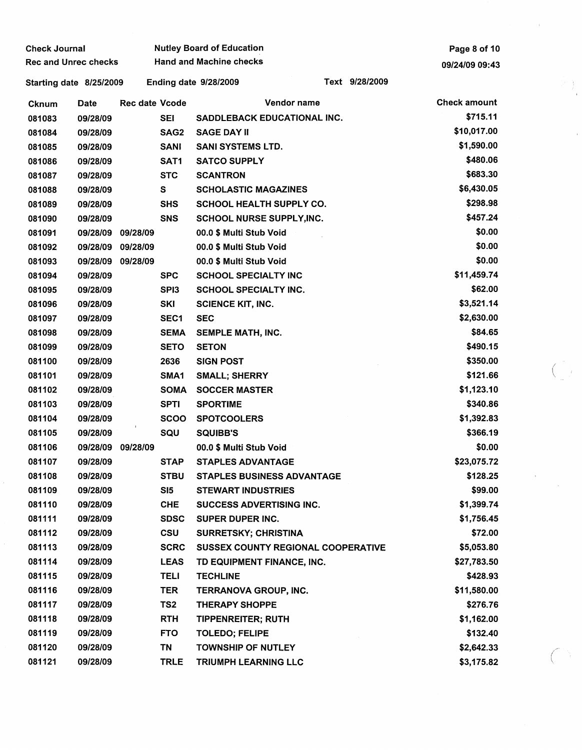| <b>Check Journal</b>        |          |                   |             | <b>Nutley Board of Education</b>   | Page 8 of 10   |                |                     |  |
|-----------------------------|----------|-------------------|-------------|------------------------------------|----------------|----------------|---------------------|--|
| <b>Rec and Unrec checks</b> |          |                   |             | <b>Hand and Machine checks</b>     |                | 09/24/09 09:43 |                     |  |
| Starting date 8/25/2009     |          |                   |             | <b>Ending date 9/28/2009</b>       | Text 9/28/2009 |                |                     |  |
| Cknum                       | Date     | Rec date Vcode    |             |                                    | Vendor name    |                | <b>Check amount</b> |  |
| 081083                      | 09/28/09 |                   | <b>SEI</b>  | SADDLEBACK EDUCATIONAL INC.        |                |                | \$715.11            |  |
| 081084                      | 09/28/09 |                   | SAG2        | <b>SAGE DAY II</b>                 |                |                | \$10,017.00         |  |
| 081085                      | 09/28/09 |                   | <b>SANI</b> | <b>SANI SYSTEMS LTD.</b>           |                |                | \$1,590.00          |  |
| 081086                      | 09/28/09 |                   | SAT1        | <b>SATCO SUPPLY</b>                |                |                | \$480.06            |  |
| 081087                      | 09/28/09 |                   | <b>STC</b>  | <b>SCANTRON</b>                    |                |                | \$683.30            |  |
| 081088                      | 09/28/09 |                   | S.          | <b>SCHOLASTIC MAGAZINES</b>        |                |                | \$6,430.05          |  |
| 081089                      | 09/28/09 |                   | <b>SHS</b>  | <b>SCHOOL HEALTH SUPPLY CO.</b>    |                |                | \$298.98            |  |
| 081090                      | 09/28/09 |                   | <b>SNS</b>  | <b>SCHOOL NURSE SUPPLY, INC.</b>   |                |                | \$457.24            |  |
| 081091                      |          | 09/28/09 09/28/09 |             | 00.0 \$ Multi Stub Void            |                |                | \$0.00              |  |
| 081092                      |          | 09/28/09 09/28/09 |             | 00.0 \$ Multi Stub Void            |                |                | \$0.00              |  |
| 081093                      |          | 09/28/09 09/28/09 |             | 00.0 \$ Multi Stub Void            |                |                | \$0.00              |  |
| 081094                      | 09/28/09 |                   | <b>SPC</b>  | <b>SCHOOL SPECIALTY INC</b>        |                |                | \$11,459.74         |  |
| 081095                      | 09/28/09 |                   | SPI3        | SCHOOL SPECIALTY INC.              |                |                | \$62.00             |  |
| 081096                      | 09/28/09 |                   | SKI         | <b>SCIENCE KIT, INC.</b>           |                |                | \$3,521.14          |  |
| 081097                      | 09/28/09 |                   | SEC1        | <b>SEC</b>                         |                |                | \$2,630.00          |  |
| 081098                      | 09/28/09 |                   | <b>SEMA</b> | SEMPLE MATH, INC.                  |                |                | \$84.65             |  |
| 081099                      | 09/28/09 |                   | <b>SETO</b> | <b>SETON</b>                       |                |                | \$490.15            |  |
| 081100                      | 09/28/09 |                   | 2636        | <b>SIGN POST</b>                   |                |                | \$350.00            |  |
| 081101                      | 09/28/09 |                   | SMA1        | <b>SMALL; SHERRY</b>               |                |                | \$121.66            |  |
| 081102                      | 09/28/09 |                   | <b>SOMA</b> | <b>SOCCER MASTER</b>               |                |                | \$1,123.10          |  |
| 081103                      | 09/28/09 |                   | <b>SPTI</b> | <b>SPORTIME</b>                    |                |                | \$340.86            |  |
| 081104                      | 09/28/09 |                   | <b>SCOO</b> | <b>SPOTCOOLERS</b>                 |                |                | \$1,392.83          |  |
| 081105                      | 09/28/09 |                   | SQU         | <b>SQUIBB'S</b>                    |                |                | \$366.19            |  |
| 081106                      |          | 09/28/09 09/28/09 |             | 00.0 \$ Multi Stub Void            |                |                | \$0.00              |  |
| 081107                      | 09/28/09 |                   | <b>STAP</b> | <b>STAPLES ADVANTAGE</b>           |                |                | \$23,075.72         |  |
| 081108                      | 09/28/09 |                   | <b>STBU</b> | <b>STAPLES BUSINESS ADVANTAGE</b>  |                |                | \$128.25            |  |
| 081109                      | 09/28/09 |                   | SI5         | <b>STEWART INDUSTRIES</b>          |                |                | \$99.00             |  |
| 081110                      | 09/28/09 |                   | <b>CHE</b>  | SUCCESS ADVERTISING INC.           |                |                | \$1,399.74          |  |
| 081111                      | 09/28/09 |                   | <b>SDSC</b> | <b>SUPER DUPER INC.</b>            |                |                | \$1,756.45          |  |
| 081112                      | 09/28/09 |                   | <b>CSU</b>  | SURRETSKY; CHRISTINA               |                |                | \$72.00             |  |
| 081113                      | 09/28/09 |                   | <b>SCRC</b> | SUSSEX COUNTY REGIONAL COOPERATIVE |                |                | \$5,053.80          |  |
| 081114                      | 09/28/09 |                   | <b>LEAS</b> | TD EQUIPMENT FINANCE, INC.         |                |                | \$27,783.50         |  |
| 081115                      | 09/28/09 |                   | <b>TELI</b> | <b>TECHLINE</b>                    |                |                | \$428.93            |  |
| 081116                      | 09/28/09 |                   | TER         | TERRANOVA GROUP, INC.              |                |                | \$11,580.00         |  |
| 081117                      | 09/28/09 |                   | TS2         | <b>THERAPY SHOPPE</b>              |                |                | \$276.76            |  |
| 081118                      | 09/28/09 |                   | RTH         | <b>TIPPENREITER; RUTH</b>          |                |                | \$1,162.00          |  |
| 081119                      | 09/28/09 |                   | <b>FTO</b>  | <b>TOLEDO; FELIPE</b>              |                |                | \$132.40            |  |
| 081120                      | 09/28/09 |                   | TN          | <b>TOWNSHIP OF NUTLEY</b>          |                |                | \$2,642.33          |  |
| 081121                      | 09/28/09 |                   | <b>TRLE</b> | TRIUMPH LEARNING LLC               |                |                | \$3,175.82          |  |

 $\frac{1}{2}$ 

 $\frac{1}{2}$ 

 $\overline{\phantom{a}}$ 

 $\label{eq:2} \frac{1}{\sqrt{2}}\sum_{i=1}^n\frac{1}{\sqrt{2\pi i}}\sum_{j=1}^n\frac{1}{j!}\sum_{j=1}^n\frac{1}{j!}\sum_{j=1}^n\frac{1}{j!}\sum_{j=1}^n\frac{1}{j!}\sum_{j=1}^n\frac{1}{j!}\sum_{j=1}^n\frac{1}{j!}\sum_{j=1}^n\frac{1}{j!}\sum_{j=1}^n\frac{1}{j!}\sum_{j=1}^n\frac{1}{j!}\sum_{j=1}^n\frac{1}{j!}\sum_{j=1}^n\frac{1}{j!}\sum_{j=$ 

 $\overline{C}$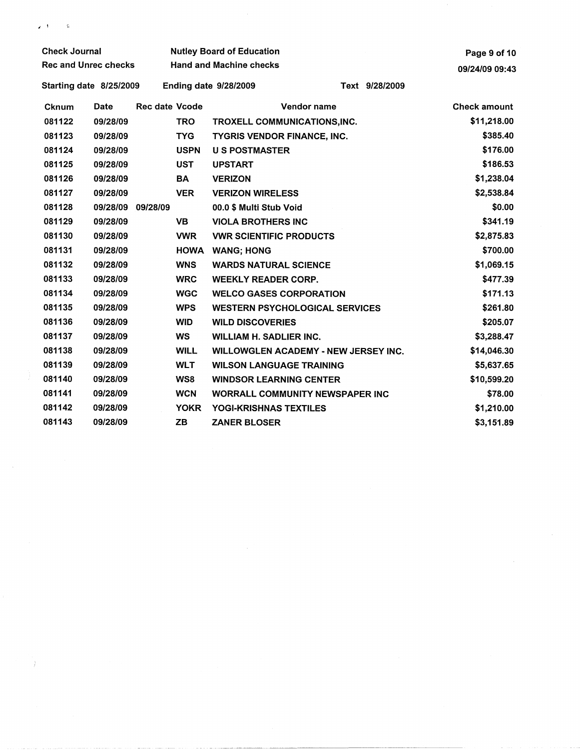Check Journal Nutley Board of Education Rec and Unrec checks Hand and Machine checks Starting date 8/25/2009 Ending date 9/28/2009 Text 9/28/2009 **Cknum** 081122 081123 081124 081125 081126 081127 081128 081129 081130 081131 081132 081133 081134 081135 081136 081137 081138 081139 081140 081141 081142 081143 Date Rec date Vcode Vendor name TROXELL COMMUNICATIONS,INC. TYGRIS VENDOR FINANCE, INC. 09/28/09 TRO 09/28/09 TYG 09/28/09 USPN U S POSTMASTER 09/28/09 UST UPSTART 09/28/09 BA VERIZON 09/28/09 VER VERIZON WIRELESS oo.o \$ Multi Stub Void VIOLA BROTHERS INC 09/28/09 09/28/09 09/28/09 VB 09/28/09 VWR VWR SCIENTIFIC PRODUCTS 09/28/09 09/28/09 09/28/09 09/28/09 09/28/09 09/28/09 09/28/09 09/28/09 09/28/09 09/28/09 09/28/09 09/28/09 09/28/09 HOWA WANG; HONG WNS WARDS NATURAL SCIENCE WRC WEEKLY READER CORP. WGC WELCO GASES CORPORATION WPS WESTERN PSYCHOLOGICAL SERVICES WID WILD DISCOVERIES WS WILLIAM H. SADLIER INC. WILL WILLOWGLEN ACADEMY - NEW JERSEY INC. WLT WILSON LANGUAGE TRAINING WS8 WINDSOR LEARNING CENTER WCN WORRALL COMMUNITY NEWSPAPER INC YOKR YOGI-KRISHNAS TEXTILES ZB ZANER BLOSER Page 9 of 10 09/24/09 09:43 Check amount \$11,218.00 \$385.40 \$176.00 \$186.53 \$1,238.04 \$2,538.84 \$0.00 \$341.19 \$2,875.83 \$700.00 \$1,069.15 \$477.39 \$171.13 \$261.80 \$205.07 \$3,288.47 \$14,046.30 \$5,637.65 \$10,599.20 \$78.00 \$1,210.00 \$3,151.89

 $\mathbf{z} = \mathbf{t}$  .

 $\mathbf{R}$